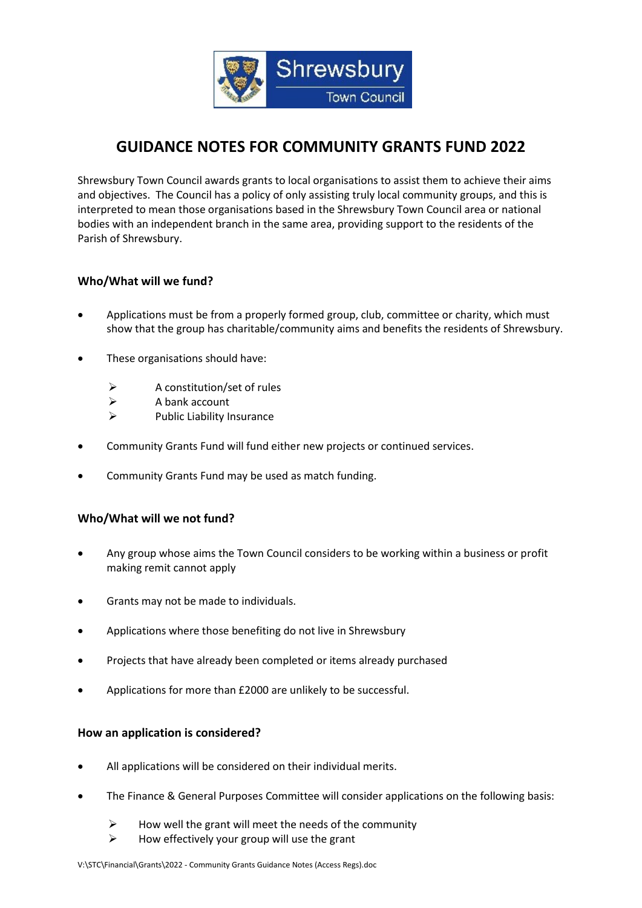

# **GUIDANCE NOTES FOR COMMUNITY GRANTS FUND 2022**

Shrewsbury Town Council awards grants to local organisations to assist them to achieve their aims and objectives. The Council has a policy of only assisting truly local community groups, and this is interpreted to mean those organisations based in the Shrewsbury Town Council area or national bodies with an independent branch in the same area, providing support to the residents of the Parish of Shrewsbury.

## **Who/What will we fund?**

- Applications must be from a properly formed group, club, committee or charity, which must show that the group has charitable/community aims and benefits the residents of Shrewsbury.
- These organisations should have:
	- ➢ A constitution/set of rules
	- ➢ A bank account
	- ➢ Public Liability Insurance
- Community Grants Fund will fund either new projects or continued services.
- Community Grants Fund may be used as match funding.

### **Who/What will we not fund?**

- Any group whose aims the Town Council considers to be working within a business or profit making remit cannot apply
- Grants may not be made to individuals.
- Applications where those benefiting do not live in Shrewsbury
- Projects that have already been completed or items already purchased
- Applications for more than £2000 are unlikely to be successful.

### **How an application is considered?**

- All applications will be considered on their individual merits.
- The Finance & General Purposes Committee will consider applications on the following basis:
	- $\triangleright$  How well the grant will meet the needs of the community
	- $\triangleright$  How effectively your group will use the grant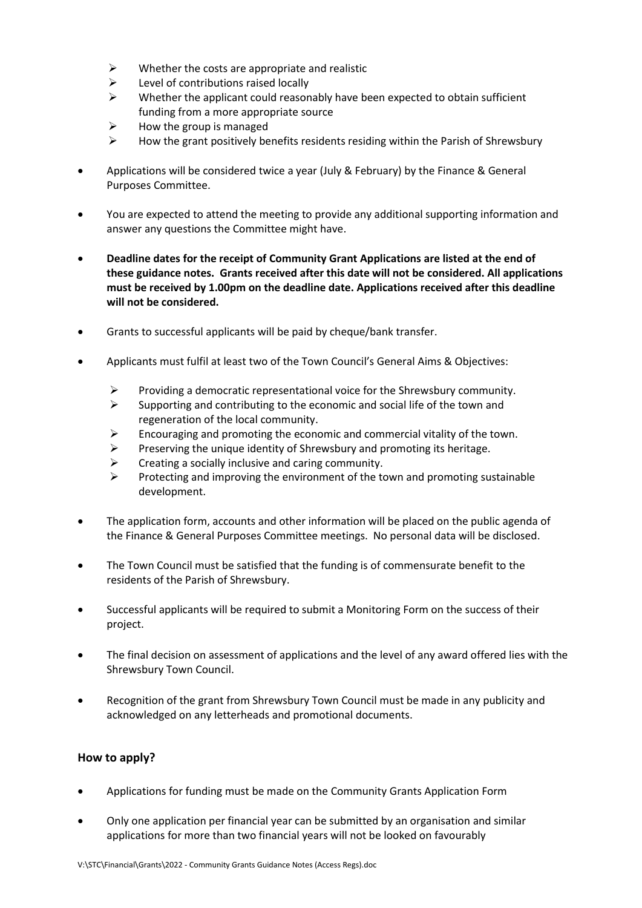- $\triangleright$  Whether the costs are appropriate and realistic
- $\triangleright$  Level of contributions raised locally
- $\triangleright$  Whether the applicant could reasonably have been expected to obtain sufficient funding from a more appropriate source
- ➢ How the group is managed
- $\triangleright$  How the grant positively benefits residents residing within the Parish of Shrewsbury
- Applications will be considered twice a year (July & February) by the Finance & General Purposes Committee.
- You are expected to attend the meeting to provide any additional supporting information and answer any questions the Committee might have.
- **Deadline dates for the receipt of Community Grant Applications are listed at the end of these guidance notes. Grants received after this date will not be considered. All applications must be received by 1.00pm on the deadline date. Applications received after this deadline will not be considered.**
- Grants to successful applicants will be paid by cheque/bank transfer.
- Applicants must fulfil at least two of the Town Council's General Aims & Objectives:
	- $\triangleright$  Providing a democratic representational voice for the Shrewsbury community.
	- ➢ Supporting and contributing to the economic and social life of the town and regeneration of the local community.
	- $\triangleright$  Encouraging and promoting the economic and commercial vitality of the town.
	- $\triangleright$  Preserving the unique identity of Shrewsbury and promoting its heritage.
	- $\triangleright$  Creating a socially inclusive and caring community.
	- ➢ Protecting and improving the environment of the town and promoting sustainable development.
- The application form, accounts and other information will be placed on the public agenda of the Finance & General Purposes Committee meetings. No personal data will be disclosed.
- The Town Council must be satisfied that the funding is of commensurate benefit to the residents of the Parish of Shrewsbury.
- Successful applicants will be required to submit a Monitoring Form on the success of their project.
- The final decision on assessment of applications and the level of any award offered lies with the Shrewsbury Town Council.
- Recognition of the grant from Shrewsbury Town Council must be made in any publicity and acknowledged on any letterheads and promotional documents.

### **How to apply?**

- Applications for funding must be made on the Community Grants Application Form
- Only one application per financial year can be submitted by an organisation and similar applications for more than two financial years will not be looked on favourably